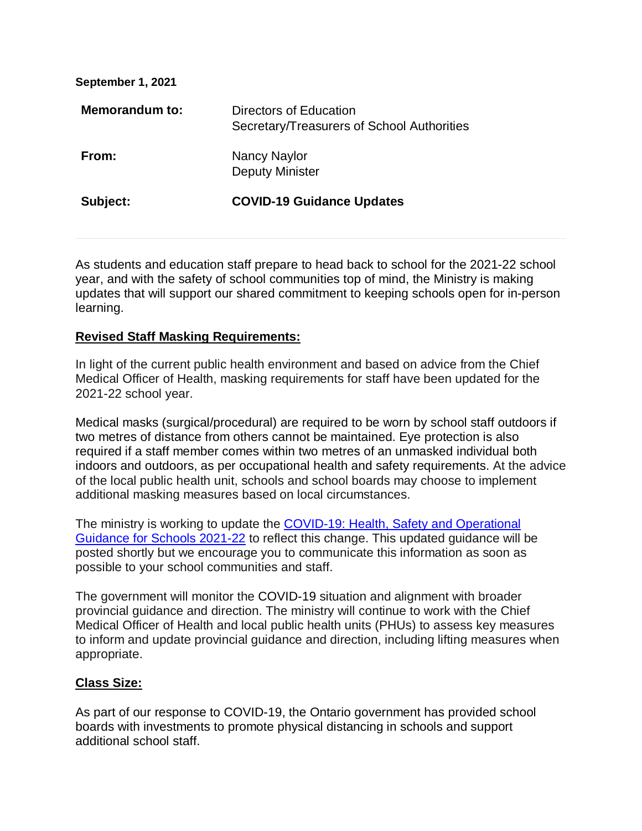**September 1, 2021** 

| <b>Memorandum to:</b> | Directors of Education<br>Secretary/Treasurers of School Authorities |
|-----------------------|----------------------------------------------------------------------|
| From:                 | Nancy Naylor<br><b>Deputy Minister</b>                               |
| Subject:              | <b>COVID-19 Guidance Updates</b>                                     |

As students and education staff prepare to head back to school for the 2021-22 school year, and with the safety of school communities top of mind, the Ministry is making updates that will support our shared commitment to keeping schools open for in-person learning.

## **Revised Staff Masking Requirements:**

In light of the current public health environment and based on advice from the Chief Medical Officer of Health, masking requirements for staff have been updated for the 2021-22 school year.

Medical masks (surgical/procedural) are required to be worn by school staff outdoors if two metres of distance from others cannot be maintained. Eye protection is also required if a staff member comes within two metres of an unmasked individual both indoors and outdoors, as per occupational health and safety requirements. At the advice of the local public health unit, schools and school boards may choose to implement additional masking measures based on local circumstances.

The ministry is working to update the [COVID-19: Health, Safety and Operational](https://www.ontario.ca/document/covid-19-health-safety-and-operational-guidance-schools-2021-2022)  [Guidance for Schools 2021-22](https://www.ontario.ca/document/covid-19-health-safety-and-operational-guidance-schools-2021-2022) to reflect this change. This updated guidance will be posted shortly but we encourage you to communicate this information as soon as possible to your school communities and staff.

The government will monitor the COVID-19 situation and alignment with broader provincial guidance and direction. The ministry will continue to work with the Chief Medical Officer of Health and local public health units (PHUs) to assess key measures to inform and update provincial guidance and direction, including lifting measures when appropriate.

## **Class Size:**

As part of our response to COVID-19, the Ontario government has provided school boards with investments to promote physical distancing in schools and support additional school staff.